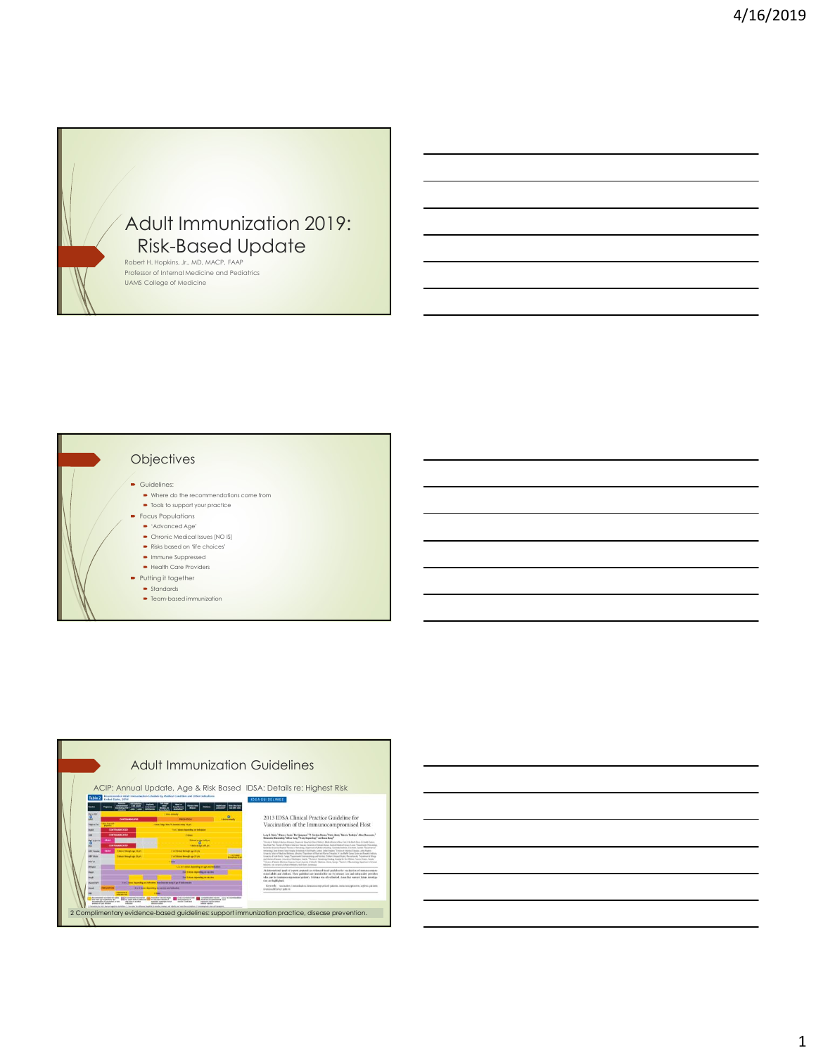





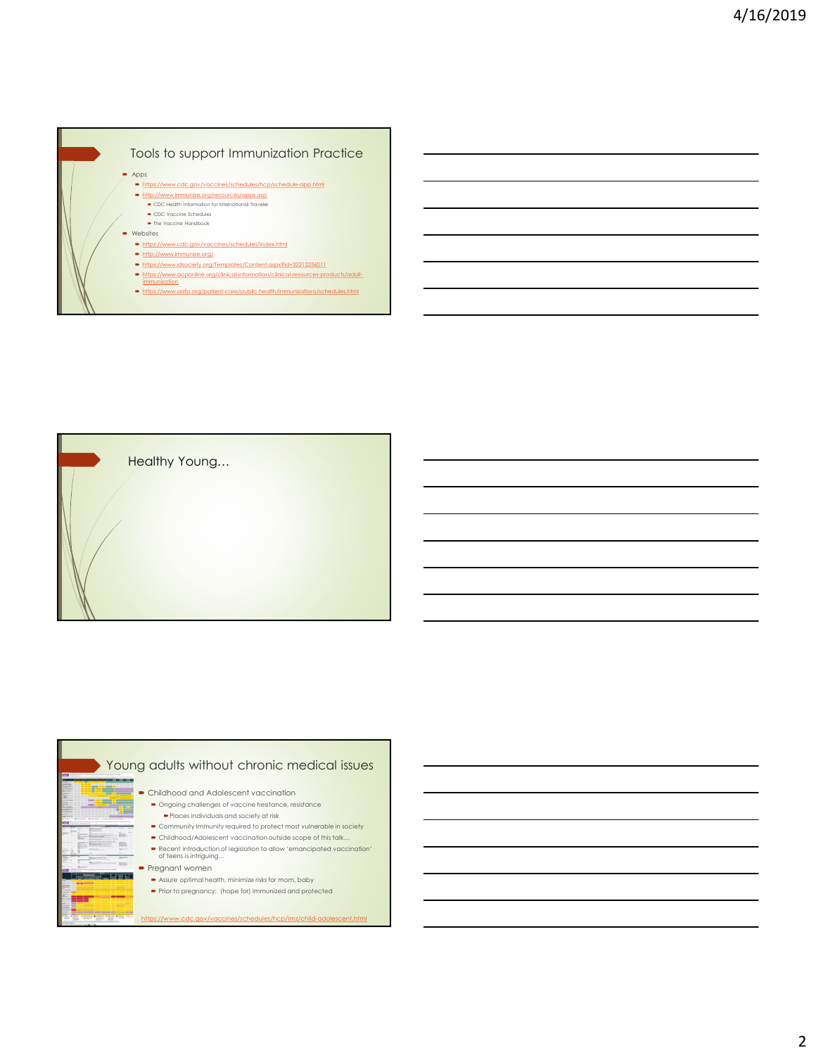





2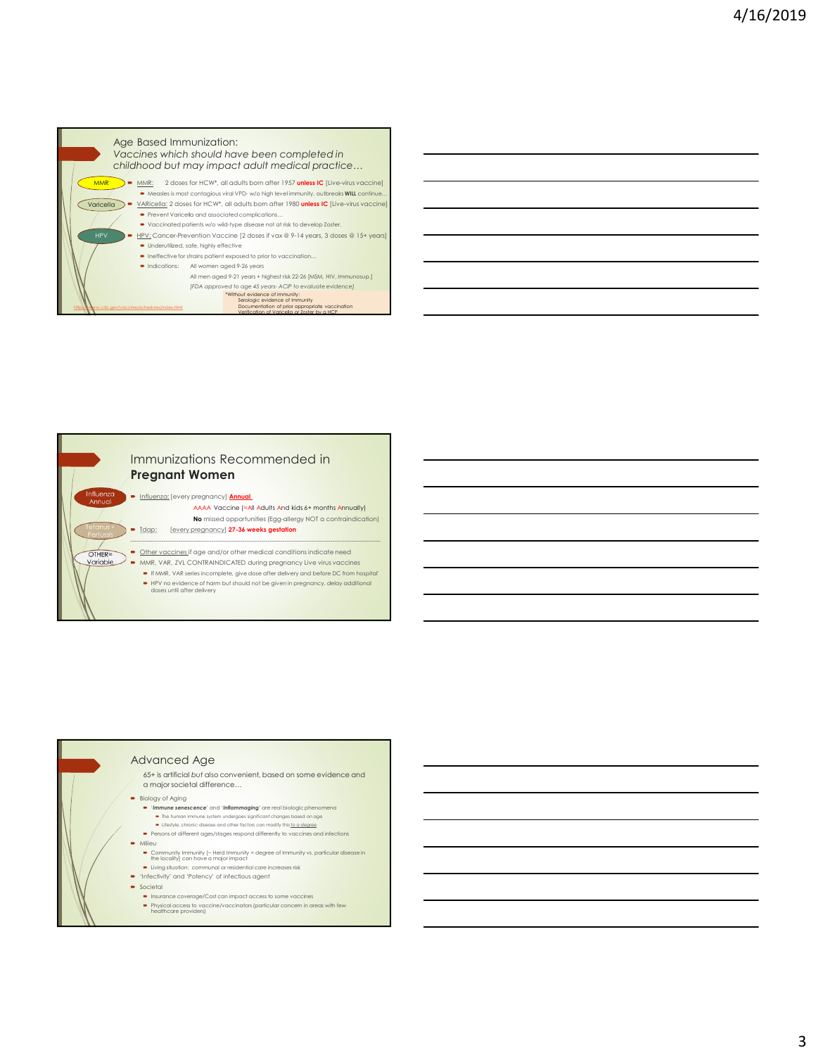



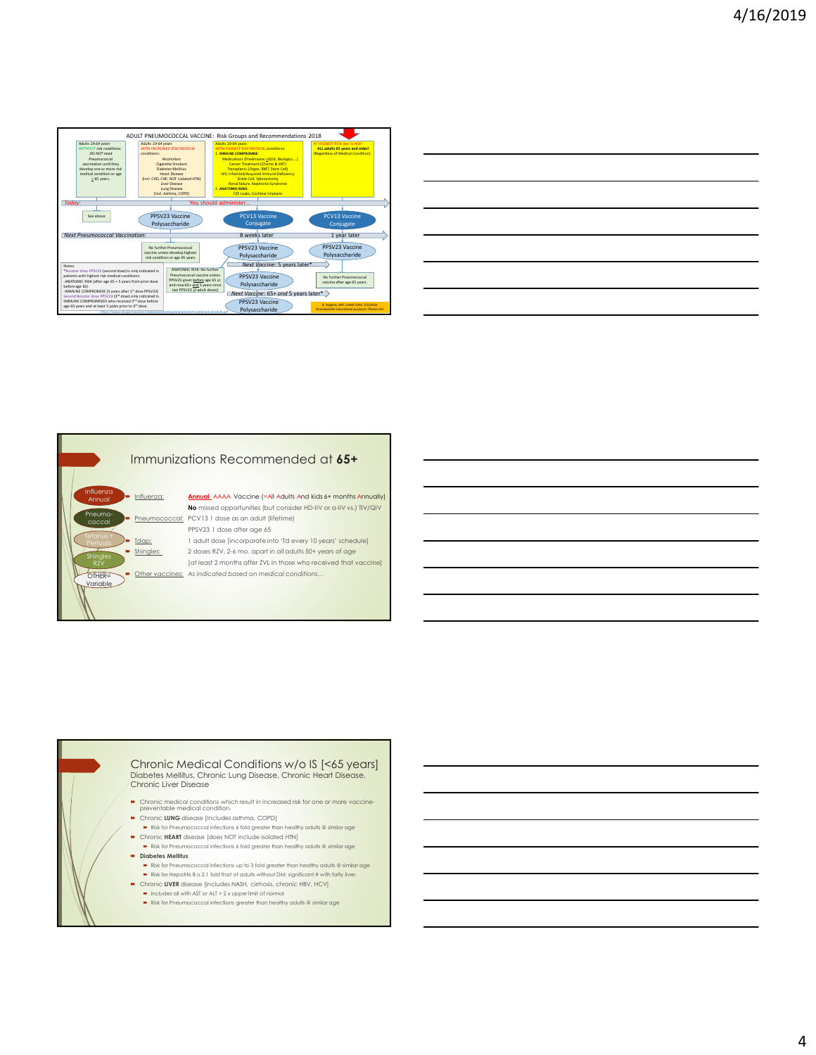|                                                                                                                                                                                                                                                                                                                                                                                                                                                                                                                                                                                                                                                                                                                                                                                                                                                                                                                                                                                                                                                                                                                                                                                                                                                                                                                                                                                                                                                                                                                                                                                                                                                                                                                                                                                                                                                                                                                                                                                                                                                                                                                                                                            | 4/16/2019 |
|----------------------------------------------------------------------------------------------------------------------------------------------------------------------------------------------------------------------------------------------------------------------------------------------------------------------------------------------------------------------------------------------------------------------------------------------------------------------------------------------------------------------------------------------------------------------------------------------------------------------------------------------------------------------------------------------------------------------------------------------------------------------------------------------------------------------------------------------------------------------------------------------------------------------------------------------------------------------------------------------------------------------------------------------------------------------------------------------------------------------------------------------------------------------------------------------------------------------------------------------------------------------------------------------------------------------------------------------------------------------------------------------------------------------------------------------------------------------------------------------------------------------------------------------------------------------------------------------------------------------------------------------------------------------------------------------------------------------------------------------------------------------------------------------------------------------------------------------------------------------------------------------------------------------------------------------------------------------------------------------------------------------------------------------------------------------------------------------------------------------------------------------------------------------------|-----------|
| ADULT PNEUMOCOCCAL VACCINE: Risk Groups and Recommendations 2018<br>Adults 19-64 years<br>Adults 19-64 years<br>Adults 19-64 years<br><b>HOUT risk conditions.</b><br><b>WITH INCREASED RISK MEDICAL</b><br><b>TRISK MEDICAL conditions:</b><br>ALL adults 65 years and older!<br><b>IMMUNE COMPROMISE:</b><br>DO NOT need<br>conditions:<br><b>Regardless of Medical Condit</b><br>Pneumococcal<br>Alcoholism<br>Medications (Prednisone >20/d, Biologics,)<br>Cancer Treatment (Chemo & XRT)<br>Cigarette Smokers<br>vaccination until they<br>evelop one or more risk<br><b>Diabetes Mellitus</b><br>Transplants [Organ, BMT, Stem Cell]<br>medical condition or age<br><b>Heart Disease</b><br>HIV, Inherited/Acquired Immune Deficiency<br>$\geq$ 65 years.<br>[Incl. CAD, CHF; NOT Isolated HTN]<br>Sickle Cell, Splenectomy<br>Liver Disease<br>Renal failure, Nephrotic Syndrome<br>Lung Disease<br><b>ANATOMIC RISKS:</b><br><b>CSF Leaks, Cochlear Implants</b><br>[Incl. Asthma, COPD]<br>Today:<br>You should administer<br>PPSV23 Vaccine<br>PCV13 Vaccine<br>PCV13 Vaccine<br>See above<br>Polysaccharide<br>Conjugate<br>Conjugate<br><b>Next Pneumococcal Vaccination:</b><br>8 weeks later<br>1 year later<br>PPSV23 Vaccine<br>No further Pneumococcal<br>PPSV23 Vaccine<br>vaccine unless develop highest<br>Polysaccharide<br>Polysaccharide<br>risk condition or age 65 years<br>ঌ<br>Next Vaccine: 5 years later*<br>Notes:<br>ANATOMIC RISK: No further<br>*Booster dose PPSV23 (second dose) is only indicated in<br>Pneumococcal vaccine unless<br>patients with highest risk medical conditions:<br>-ANATOMIC RISK (after age 65 + 5 years from prior dose<br>PPSV23 Vaccine<br>No further Pneumococcal<br>PPSV23 given before age 65 yr.<br>vaccine after age 65 years.<br>and now 65+ and 5 years since<br>Polysaccharide<br>before age 65)<br>-IMMUNE COMPROMISE (5 years after 1 <sup>11</sup> dose PPSV23)<br>last PPSV23 [2 adult doses]<br>Next Vaccine: $65+$ and 5 years later*<br>Second Booster dose PPSV23 (3 <sup>rd</sup> dose) only indicated in<br>IMMUNE COMPROMISED who received 2 <sup>nd</sup> dose before<br>PPSV23 Vaccine |           |
| R. Hopkins, MD. UAMS COM. 7/2/2018.<br>Developed for educational purposes-Please cite /<br>age 65 years and at least 5 years prior to 3 <sup>11</sup> dose.<br>Polysaccharide                                                                                                                                                                                                                                                                                                                                                                                                                                                                                                                                                                                                                                                                                                                                                                                                                                                                                                                                                                                                                                                                                                                                                                                                                                                                                                                                                                                                                                                                                                                                                                                                                                                                                                                                                                                                                                                                                                                                                                                              |           |
| Immunizations Recommended at 65+<br>Influenza<br>Influenza:<br>Annual AAAA Vaccine (=All Adults And kids 6+ months Annually)<br>Annual<br>No missed opportunities (but consider HD-IIV or a-IIV vs.) TIV/QIV<br>Pneumo-<br>Pneumococcal: PCV13 1 dose as an adult (lifetime)<br>coccal<br>PPSV23 1 dose after age 65<br>1 adult dose [incorporate into 'Td every 10 years' schedule]<br>Tdap:<br>2 doses RZV, 2-6 mo. apart in all adults 50+ years of age<br>Shingles:<br>Shingles<br>RZV<br>[at least 2 months after ZVL in those who received that vaccine]<br>• Other vaccines: As indicated based on medical conditions<br>$OTHER =$<br>Variable                                                                                                                                                                                                                                                                                                                                                                                                                                                                                                                                                                                                                                                                                                                                                                                                                                                                                                                                                                                                                                                                                                                                                                                                                                                                                                                                                                                                                                                                                                                      |           |

| <b>FRISK MEDICAL conditions:</b><br><b>MPROMISE:</b>      | ALL adults 65 years and older!<br>(Regardless of Medical Condition)                    |
|-----------------------------------------------------------|----------------------------------------------------------------------------------------|
| ns (Prednisone >20/d, Biologics,)                         |                                                                                        |
| r Treatment (Chemo & XRT)                                 |                                                                                        |
| ants [Organ, BMT, Stem Cell]                              |                                                                                        |
| ted/Acquired Immune Deficiency<br>ickle Cell, Splenectomy |                                                                                        |
| failure, Nephrotic Syndrome                               |                                                                                        |
| <b>RISKS:</b>                                             |                                                                                        |
| Leaks, Cochlear Implants                                  |                                                                                        |
| ter                                                       |                                                                                        |
|                                                           |                                                                                        |
| <b>PCV13 Vaccine</b>                                      | PCV13 Vaccine                                                                          |
| Conjugate                                                 | Conjugate                                                                              |
|                                                           |                                                                                        |
| 8 weeks later                                             | 1 year later                                                                           |
|                                                           |                                                                                        |
| PPSV23 Vaccine                                            | PPSV23 Vaccine                                                                         |
| Polysaccharide                                            | Polysaccharide                                                                         |
|                                                           |                                                                                        |
| Next Vaccine: 5 years later*                              |                                                                                        |
| PPSV23 Vaccine                                            | No further Pneumococcal                                                                |
|                                                           | vaccine after age 65 years.                                                            |
| Polysaccharide                                            |                                                                                        |
| $x$ Vaccine: 65+ and 5 years later $\rightarrow$          |                                                                                        |
| PPSV23 Vaccine                                            |                                                                                        |
|                                                           | R. Hopkins, MD. UAMS COM. 7/2/2018.<br>Developed for educational purposes-Please cite! |
| Polysaccharide                                            |                                                                                        |

## Immunizations Recommended at 65+

# Chronic Medical Conditions w/o IS [<65 years] Diabetes Mellitus, Chronic Lung Disease, Chronic Heart Disease, Chronic Liver Disease <u>Internacional Association</u><br>
Internacional Mechanisms and the internal Mechanisms and the internal Mechanisms and the control of the internal Mechanisms<br> **Exception**<br> **Exception**<br> **Exception 2.0 and 2.0 and 2.0 and 2.0 a**

- Chronic medical conditions which result in increased risk for one or more vaccine- preventable medical condition.
- Chronic LUNG disease [Includes asthma, COPD]<br>• Risk for Pneumococcal infections 6 fold greater than healthy adults @ similar age
- 
- 
- 

- 
- 
-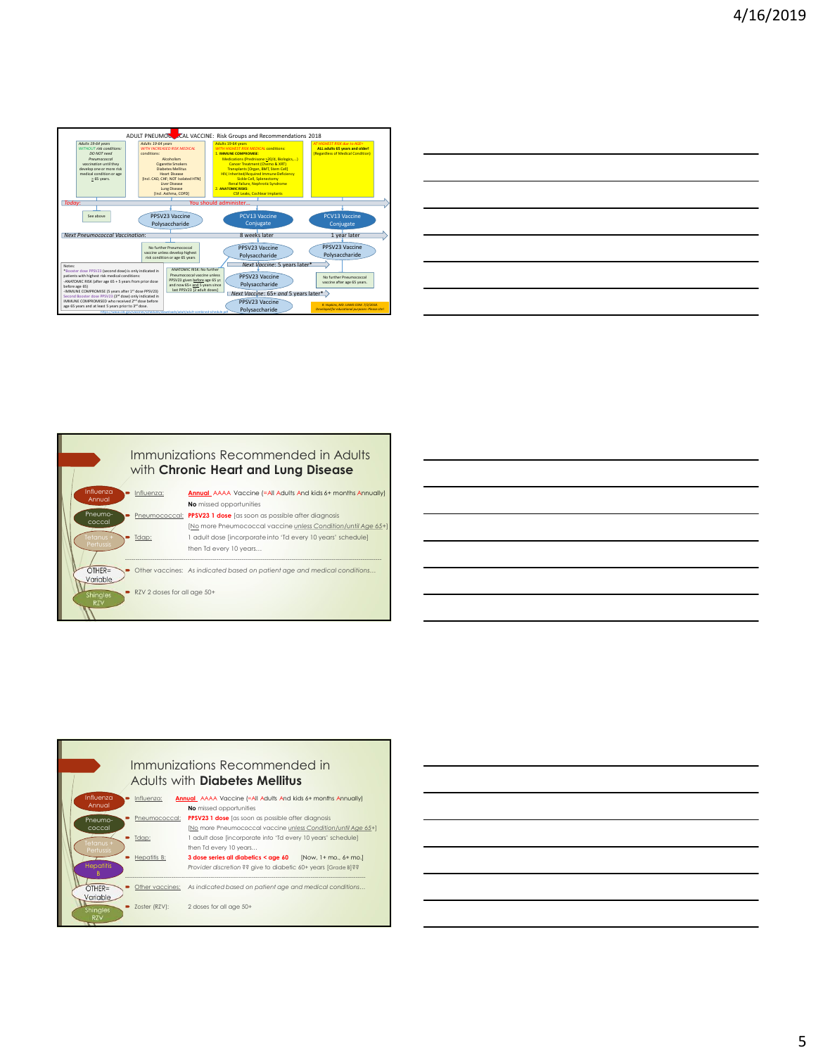|                                                                                                                                                                                                                                                                                                                                                                                                                                                                                                                                                                                                                                                                                                                                                                                                                                                                                                                                                                                                                           | 4/16/2019 |
|---------------------------------------------------------------------------------------------------------------------------------------------------------------------------------------------------------------------------------------------------------------------------------------------------------------------------------------------------------------------------------------------------------------------------------------------------------------------------------------------------------------------------------------------------------------------------------------------------------------------------------------------------------------------------------------------------------------------------------------------------------------------------------------------------------------------------------------------------------------------------------------------------------------------------------------------------------------------------------------------------------------------------|-----------|
|                                                                                                                                                                                                                                                                                                                                                                                                                                                                                                                                                                                                                                                                                                                                                                                                                                                                                                                                                                                                                           |           |
|                                                                                                                                                                                                                                                                                                                                                                                                                                                                                                                                                                                                                                                                                                                                                                                                                                                                                                                                                                                                                           |           |
| ADULT PNEUMOCOCAL VACCINE: Risk Groups and Recommendations 2018<br>Adults 19-64 years<br>Adults 19-64 years<br>Adults 19-64 years<br>WITH INCREASED RISK MEDICAL<br>ALL adults 65 years and older!<br>WITHOUT risk conditions.<br><b>ST RISK MEDICAL conditions:</b>                                                                                                                                                                                                                                                                                                                                                                                                                                                                                                                                                                                                                                                                                                                                                      |           |
| DO NOT need<br>conditions:<br>. IMMUNE COMPROMISE:<br>Regardless of Medical Condition)<br>Medications (Prednisone >20/d, Biologics,)<br>Cancer Treatment (Chemo & XRT)<br>Alcoholism<br>Pneumococcal<br>vaccination until they<br>Cigarette Smokers<br>Transplants [Organ, BMT, Stem Cell]<br>develop one or more risk<br><b>Diabetes Mellitus</b><br>medical condition or age<br>Heart Disease<br>HIV, Inherited/Acquired Immune Deficiency<br>$\geq$ 65 years.<br>[Incl. CAD, CHF: NOT Isolated HTN]<br>Sickle Cell, Splenectomy<br>Renal failure, Nephrotic Syndrome<br>Liver Disease<br>Lung Disease<br>[Incl. Asthma, COPD]<br><b>ANATOMIC RISKS:</b>                                                                                                                                                                                                                                                                                                                                                                |           |
| CSF Leaks, Cochlear Implants<br>Ι<br>Today:<br>You should administer<br>PPSV23 Vaccine<br>PCV13 Vaccine<br>PCV13 Vaccine<br>See above<br>Polysaccharide<br>Conjugate<br>Conjugate                                                                                                                                                                                                                                                                                                                                                                                                                                                                                                                                                                                                                                                                                                                                                                                                                                         |           |
| <b>Next Pneumococcal Vaccination:</b><br>8 weeks later<br>1 year later<br>No further Pneumococcal<br>PPSV23 Vaccine<br>PPSV23 Vaccine<br>vaccine unless develop highest<br>risk condition or age 65 years<br>Polysaccharide<br>Polysaccharide<br>Next Vaccine: 5 years later*                                                                                                                                                                                                                                                                                                                                                                                                                                                                                                                                                                                                                                                                                                                                             |           |
| Notes:<br>*Booster dose PPSV23 (second dose) is only indicated in<br>*Booster dose PPSV23 (second dose) is only indicated in<br>ANATOMIC RISK: No further<br>Pneumococcal vaccine unless<br>$\begin{array}{ll} \text{patients with highest risk medical conditions:}\\ \text{-ANATIONIC RISK (after age 65 + 5 years from prior dose)} \end{array}$<br>PPSV23 Vaccine<br>No further Pneumococcal<br>PPSV23 given before age 65 yr.<br>and now 65+ and 5 years since<br>vaccine after age 65 years.<br>Polysaccharide<br>before age 65)<br>-IMMUNE COMPROMISE (5 years after 1 <sup>11</sup> dose PPSV23)<br>last PPSV23 [2 adult doses]<br>Next Vaccine: $65+$ and 5 years later *<br>Second Booster dose PPSV23 (3 <sup>rd</sup> dose) only indicated in<br>IMMUNE COMPROMISED who received 2 <sup>nd</sup> dose before<br>PPSV23 Vaccine<br>R. Hopkins, MD. UAMS COM. 7/2/2018.<br>Developed for educational purposes-Please cite<br>age 65 years and at least 5 years prior to 3 <sup>15</sup> dose.<br>Polysaccharide |           |
|                                                                                                                                                                                                                                                                                                                                                                                                                                                                                                                                                                                                                                                                                                                                                                                                                                                                                                                                                                                                                           |           |
|                                                                                                                                                                                                                                                                                                                                                                                                                                                                                                                                                                                                                                                                                                                                                                                                                                                                                                                                                                                                                           |           |
|                                                                                                                                                                                                                                                                                                                                                                                                                                                                                                                                                                                                                                                                                                                                                                                                                                                                                                                                                                                                                           |           |

| (Regardless of Medical Condition)<br><b>MPROMISE:</b>             |  |
|-------------------------------------------------------------------|--|
| ns (Prednisone >20/d, Biologics,)                                 |  |
| r Treatment (Chemo & XRT)                                         |  |
| ants [Organ, BMT, Stem Cell]                                      |  |
| ted/Acquired Immune Deficiency                                    |  |
| ickle Cell, Splenectomy                                           |  |
| failure, Nephrotic Syndrome                                       |  |
| <b>RISKS:</b><br>Leaks, Cochlear Implants                         |  |
|                                                                   |  |
| ter                                                               |  |
|                                                                   |  |
| <b>PCV13 Vaccine</b><br>PCV13 Vaccine                             |  |
| Conjugate<br>Conjugate                                            |  |
|                                                                   |  |
| 8 weeks later<br>1 year later                                     |  |
|                                                                   |  |
| PPSV23 Vaccine<br>PPSV23 Vaccine                                  |  |
| Polysaccharide<br>Polysaccharide                                  |  |
|                                                                   |  |
| Next Vaccine: 5 years later*                                      |  |
| PPSV23 Vaccine<br>No further Pneumococcal                         |  |
| vaccine after age 65 years.                                       |  |
| Polysaccharide                                                    |  |
| $x$ Vaccine: 65+ and 5 years later $\rightarrow$                  |  |
| PPSV23 Vaccine<br>R. Hopkins, MD. UAMS COM. 7/2/2018.             |  |
| Polysaccharide<br>Developed for educational purposes-Please cite! |  |
|                                                                   |  |





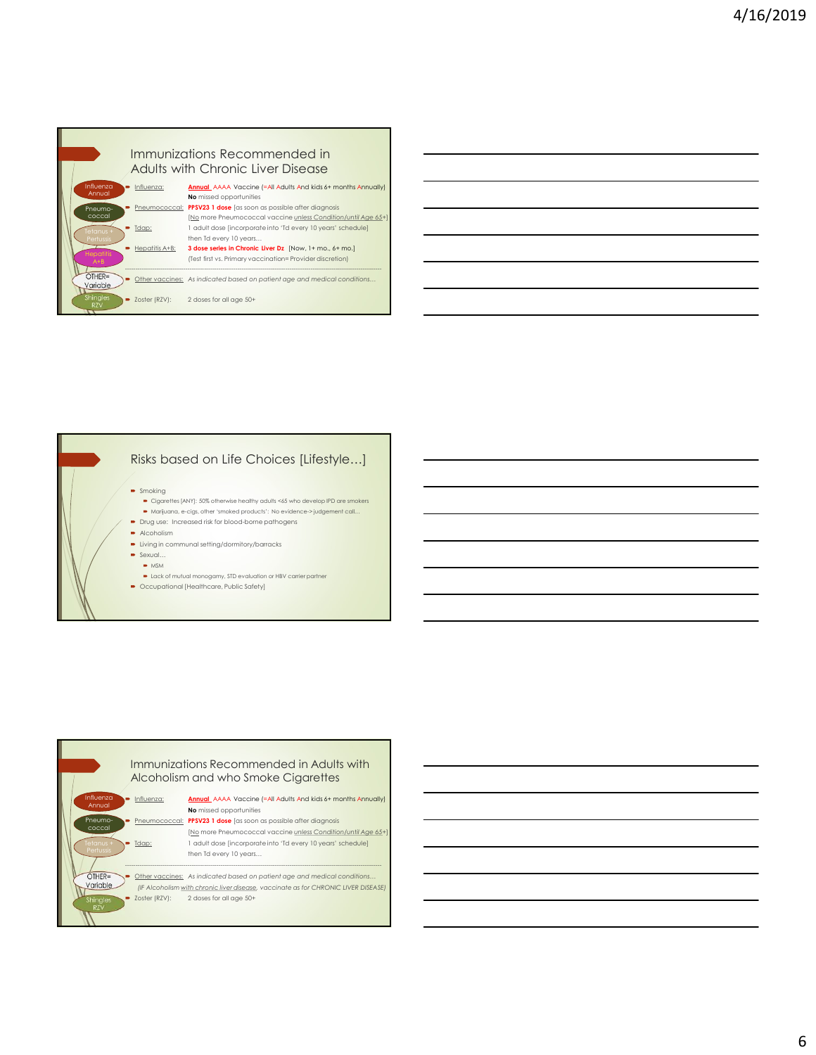

| Risks based on Life Choices [Lifestyle]                                          |  |
|----------------------------------------------------------------------------------|--|
| $\bullet$ Smoking                                                                |  |
| • Cigarettes [ANY]: 50% otherwise healthy adults <65 who develop IPD are smokers |  |
| • Marijuana, e-cigs, other 'smoked products': No evidence->judgement call        |  |

- **Drug use:** Increased risk for blood-borne pathogens
- $\blacksquare$  Alcoholism  $\blacksquare$
- $\blacktriangleright$  Living in communal setting/dormitory/barracks
- $\blacksquare$  Sexual…
- $\blacksquare$  MSM
- Lack of mutual monogamy, STD evaluation or HBV carrier partner
- Occupational [Healthcare, Public Safety]



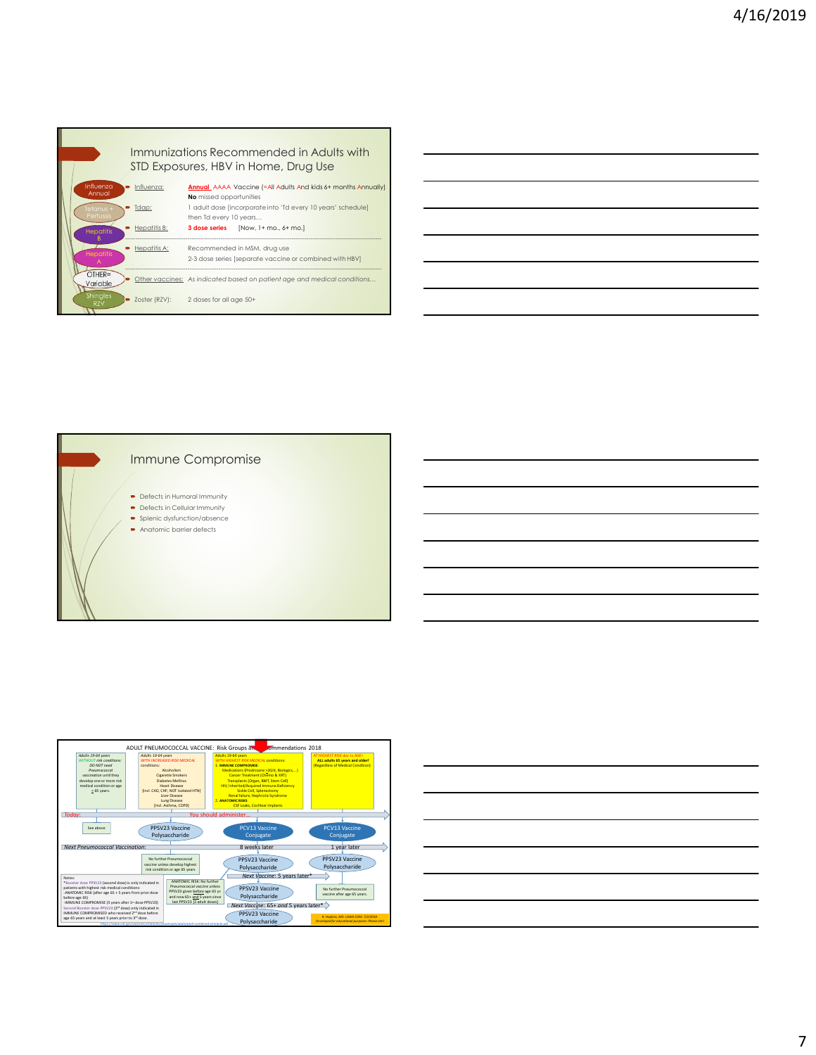





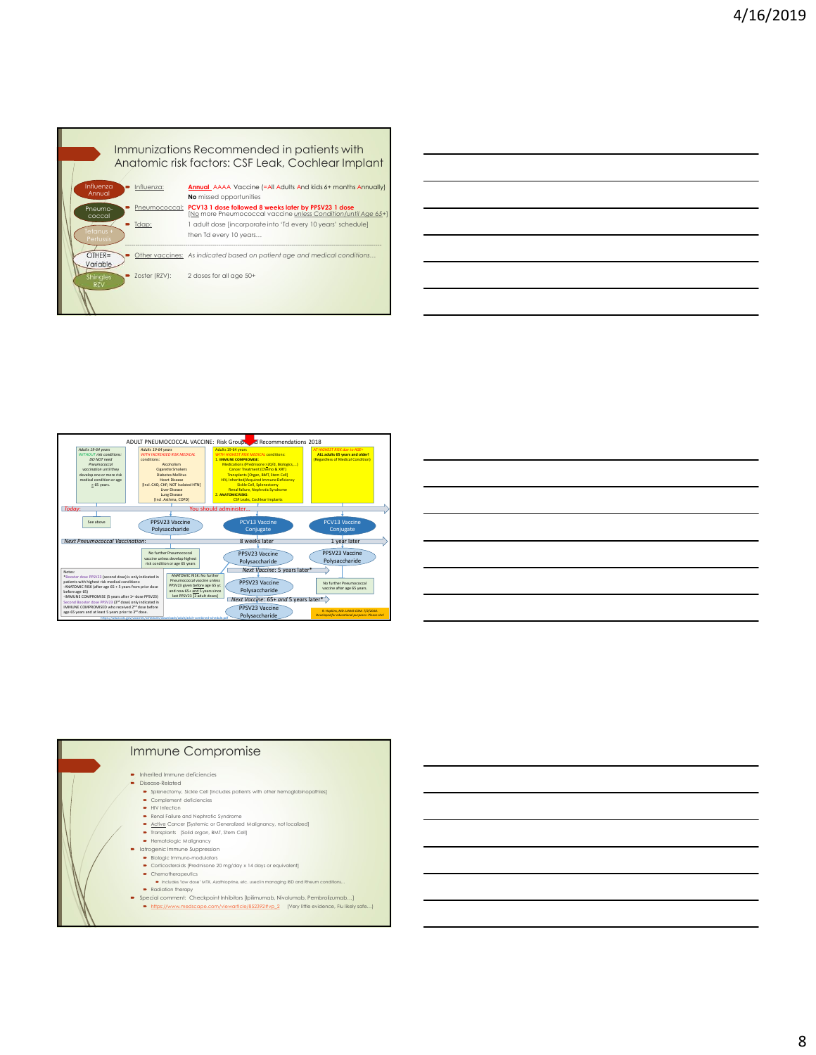





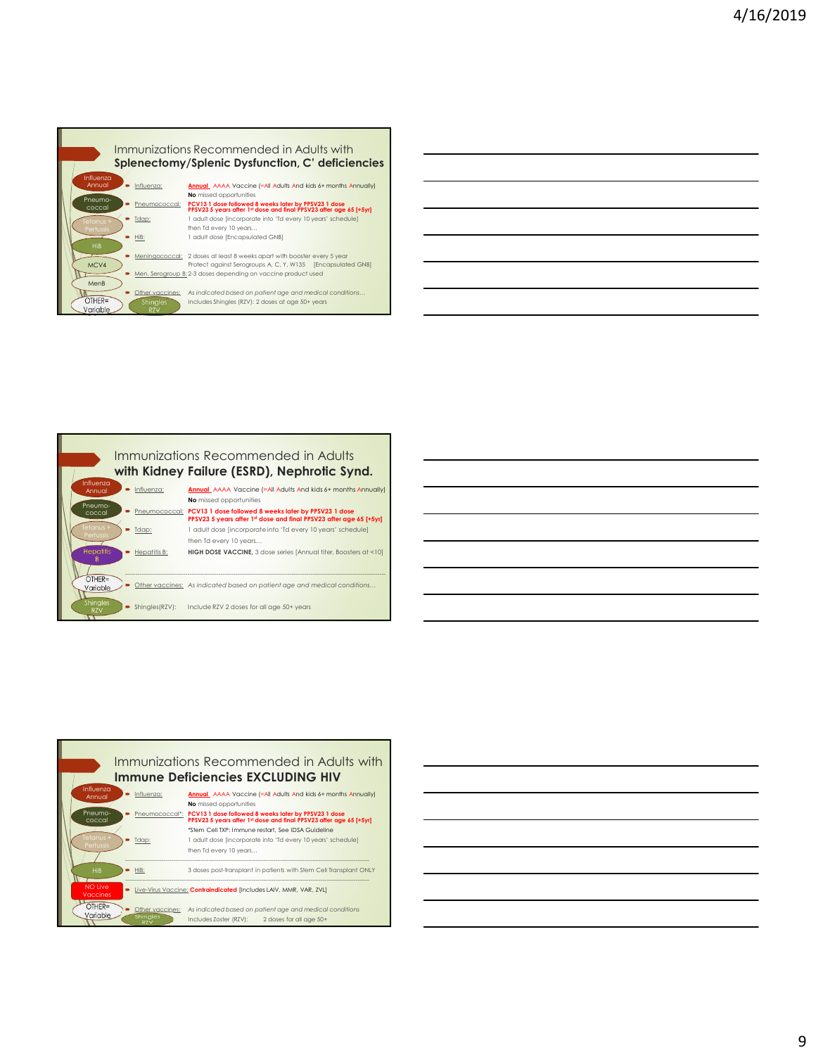





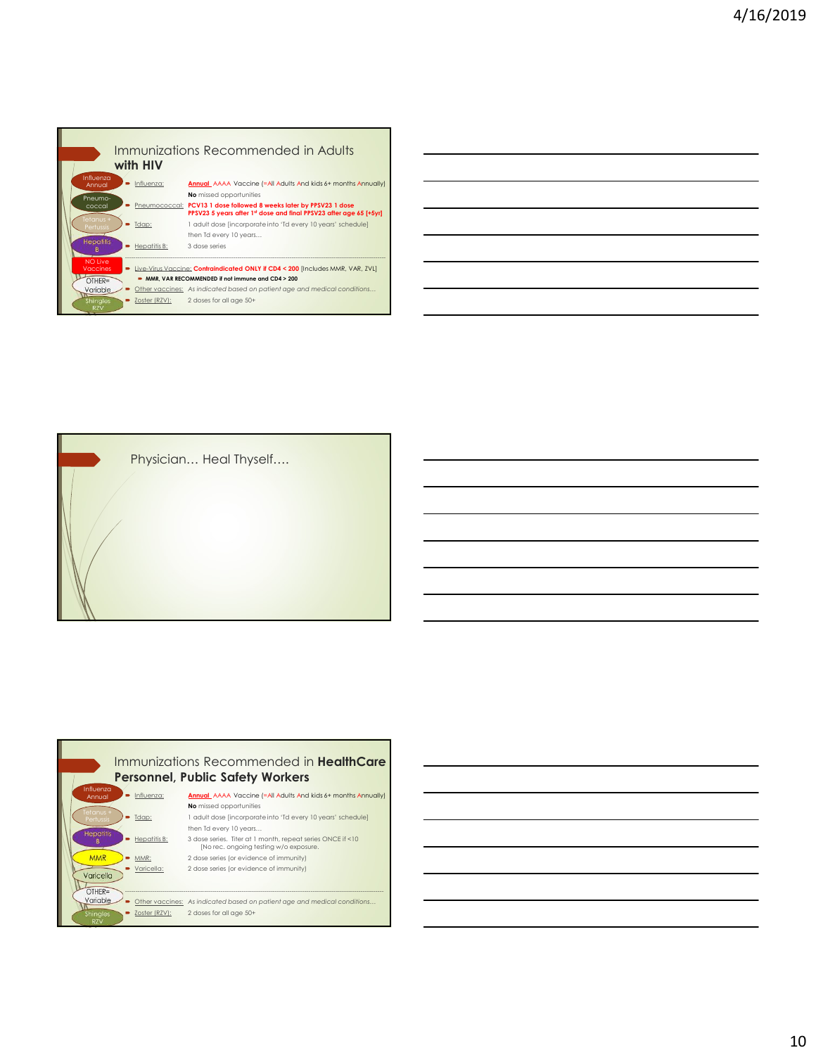



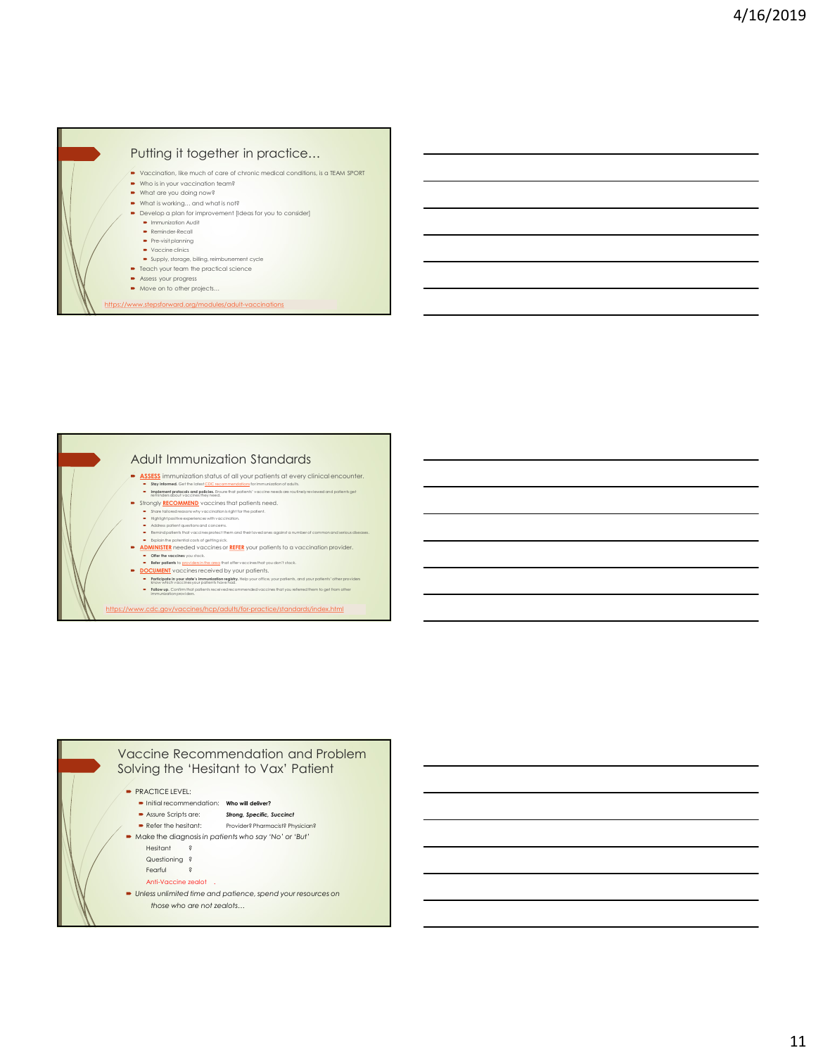



- <u>NUMINISIDEN</u> INCOURT VOCULTIES OF <u>NUMINISIDEN</u> INCOURT<br>■ Offer the vaccines you stock.<br>■ Refer patients to <u>providers in the crea</u> that offer vaccines that you don't stock.
- Refer patients to providers in the area that offer vaccines that you don't stock. DOCUMENT vaccines received by your patients. Participate in your state's immunization registry. Help your office, your patients, and your patients' other providers know which vaccines your patients have had. Follow up. Confirm that patients received recommended vaccines that you referred them to get from other immunization providers.

https://www.cdc.gov/vaccines/hcp/adults/for-practice/standards/index.html

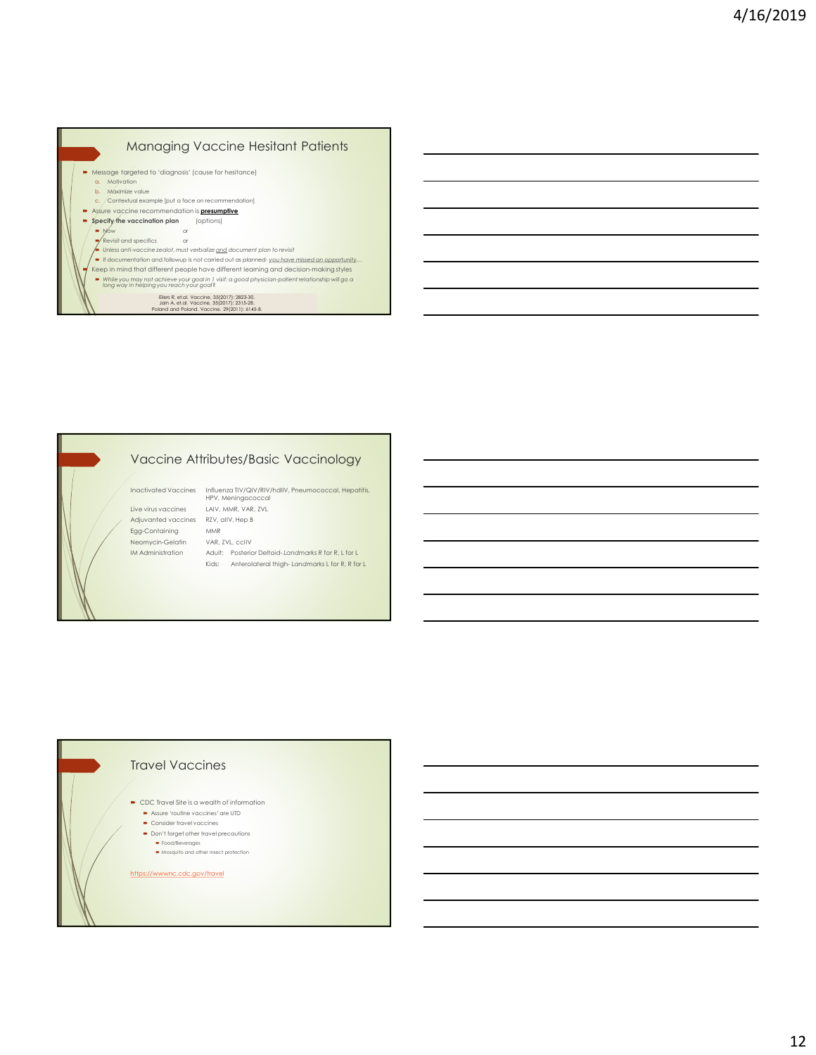

# Vaccine Attributes/Basic Vaccinology

### Travel Vaccines

CDC Travel Site is a wealth of information

- Assure 'routine vaccines' are UTD Consider travel vaccines
- Don't forget other travel precautions
	- Food/Beverages
	- $\rightarrow$  Mosquito and other insect protection

https://wwwnc.cdc.gov/travel